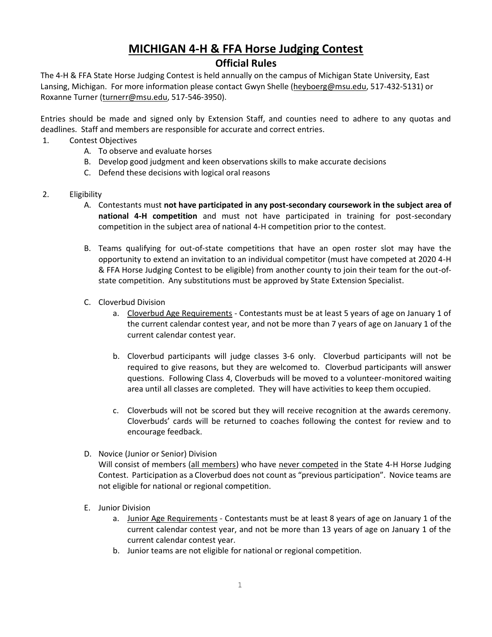# **MICHIGAN 4-H & FFA Horse Judging Contest**

# **Official Rules**

The 4-H & FFA State Horse Judging Contest is held annually on the campus of Michigan State University, East Lansing, Michigan. For more information please contact Gwyn Shelle [\(heyboerg@msu.edu,](mailto:heyboerg@msu.edu) 517-432-5131) or Roxanne Turner [\(turnerr@msu.edu,](mailto:turnerr@msu.edu) 517-546-3950).

Entries should be made and signed only by Extension Staff, and counties need to adhere to any quotas and deadlines. Staff and members are responsible for accurate and correct entries.

- 1. Contest Objectives
	- A. To observe and evaluate horses
	- B. Develop good judgment and keen observations skills to make accurate decisions
	- C. Defend these decisions with logical oral reasons
- 2. Eligibility
	- A. Contestants must **not have participated in any post-secondary coursework in the subject area of national 4-H competition** and must not have participated in training for post-secondary competition in the subject area of national 4-H competition prior to the contest.
	- B. Teams qualifying for out-of-state competitions that have an open roster slot may have the opportunity to extend an invitation to an individual competitor (must have competed at 2020 4-H & FFA Horse Judging Contest to be eligible) from another county to join their team for the out-ofstate competition. Any substitutions must be approved by State Extension Specialist.
	- C. Cloverbud Division
		- a. Cloverbud Age Requirements Contestants must be at least 5 years of age on January 1 of the current calendar contest year, and not be more than 7 years of age on January 1 of the current calendar contest year.
		- b. Cloverbud participants will judge classes 3-6 only. Cloverbud participants will not be required to give reasons, but they are welcomed to. Cloverbud participants will answer questions. Following Class 4, Cloverbuds will be moved to a volunteer-monitored waiting area until all classes are completed. They will have activities to keep them occupied.
		- c. Cloverbuds will not be scored but they will receive recognition at the awards ceremony. Cloverbuds' cards will be returned to coaches following the contest for review and to encourage feedback.
	- D. Novice (Junior or Senior) Division

Will consist of members (all members) who have never competed in the State 4-H Horse Judging Contest. Participation as a Cloverbud does not count as "previous participation". Novice teams are not eligible for national or regional competition.

- E. Junior Division
	- a. Junior Age Requirements Contestants must be at least 8 years of age on January 1 of the current calendar contest year, and not be more than 13 years of age on January 1 of the current calendar contest year.
	- b. Junior teams are not eligible for national or regional competition.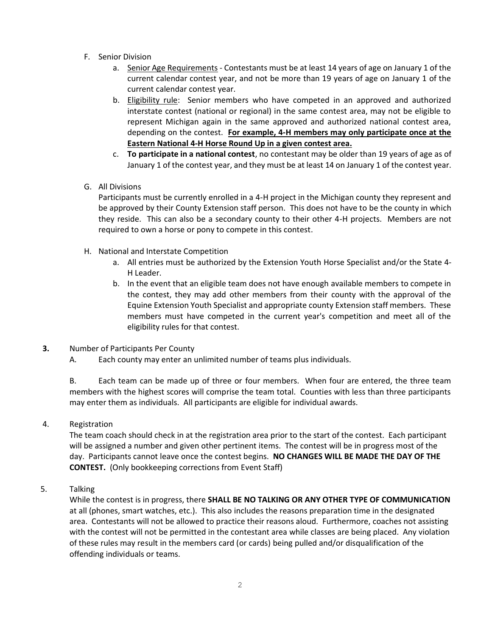- F. Senior Division
	- a. Senior Age Requirements Contestants must be at least 14 years of age on January 1 of the current calendar contest year, and not be more than 19 years of age on January 1 of the current calendar contest year.
	- b. Eligibility rule: Senior members who have competed in an approved and authorized interstate contest (national or regional) in the same contest area, may not be eligible to represent Michigan again in the same approved and authorized national contest area, depending on the contest. **For example, 4-H members may only participate once at the Eastern National 4-H Horse Round Up in a given contest area.**
	- c. **To participate in a national contest**, no contestant may be older than 19 years of age as of January 1 of the contest year, and they must be at least 14 on January 1 of the contest year.
- G. All Divisions

Participants must be currently enrolled in a 4-H project in the Michigan county they represent and be approved by their County Extension staff person. This does not have to be the county in which they reside. This can also be a secondary county to their other 4-H projects. Members are not required to own a horse or pony to compete in this contest.

- H. National and Interstate Competition
	- a. All entries must be authorized by the Extension Youth Horse Specialist and/or the State 4- H Leader.
	- b. In the event that an eligible team does not have enough available members to compete in the contest, they may add other members from their county with the approval of the Equine Extension Youth Specialist and appropriate county Extension staff members. These members must have competed in the current year's competition and meet all of the eligibility rules for that contest.
- **3.** Number of Participants Per County
	- A. Each county may enter an unlimited number of teams plus individuals.

B. Each team can be made up of three or four members. When four are entered, the three team members with the highest scores will comprise the team total. Counties with less than three participants may enter them as individuals. All participants are eligible for individual awards.

4. Registration

The team coach should check in at the registration area prior to the start of the contest. Each participant will be assigned a number and given other pertinent items. The contest will be in progress most of the day. Participants cannot leave once the contest begins. **NO CHANGES WILL BE MADE THE DAY OF THE CONTEST.** (Only bookkeeping corrections from Event Staff)

5. Talking

While the contest is in progress, there **SHALL BE NO TALKING OR ANY OTHER TYPE OF COMMUNICATION**  at all (phones, smart watches, etc.). This also includes the reasons preparation time in the designated area. Contestants will not be allowed to practice their reasons aloud. Furthermore, coaches not assisting with the contest will not be permitted in the contestant area while classes are being placed. Any violation of these rules may result in the members card (or cards) being pulled and/or disqualification of the offending individuals or teams.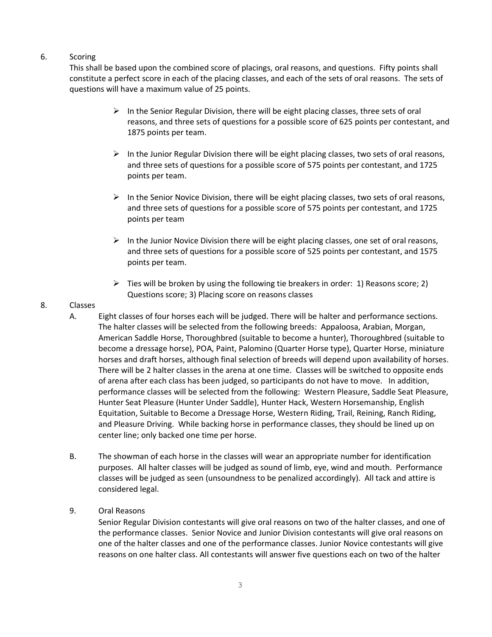# 6. Scoring

This shall be based upon the combined score of placings, oral reasons, and questions. Fifty points shall constitute a perfect score in each of the placing classes, and each of the sets of oral reasons. The sets of questions will have a maximum value of 25 points.

- $\triangleright$  In the Senior Regular Division, there will be eight placing classes, three sets of oral reasons, and three sets of questions for a possible score of 625 points per contestant, and 1875 points per team.
- $\triangleright$  In the Junior Regular Division there will be eight placing classes, two sets of oral reasons, and three sets of questions for a possible score of 575 points per contestant, and 1725 points per team.
- $\triangleright$  In the Senior Novice Division, there will be eight placing classes, two sets of oral reasons, and three sets of questions for a possible score of 575 points per contestant, and 1725 points per team
- $\triangleright$  In the Junior Novice Division there will be eight placing classes, one set of oral reasons, and three sets of questions for a possible score of 525 points per contestant, and 1575 points per team.
- $\triangleright$  Ties will be broken by using the following tie breakers in order: 1) Reasons score; 2) Questions score; 3) Placing score on reasons classes

#### 8. Classes

- A. Eight classes of four horses each will be judged. There will be halter and performance sections. The halter classes will be selected from the following breeds: Appaloosa, Arabian, Morgan, American Saddle Horse, Thoroughbred (suitable to become a hunter), Thoroughbred (suitable to become a dressage horse), POA, Paint, Palomino (Quarter Horse type), Quarter Horse, miniature horses and draft horses, although final selection of breeds will depend upon availability of horses. There will be 2 halter classes in the arena at one time. Classes will be switched to opposite ends of arena after each class has been judged, so participants do not have to move. In addition, performance classes will be selected from the following: Western Pleasure, Saddle Seat Pleasure, Hunter Seat Pleasure (Hunter Under Saddle), Hunter Hack, Western Horsemanship, English Equitation, Suitable to Become a Dressage Horse, Western Riding, Trail, Reining, Ranch Riding, and Pleasure Driving. While backing horse in performance classes, they should be lined up on center line; only backed one time per horse.
- B. The showman of each horse in the classes will wear an appropriate number for identification purposes. All halter classes will be judged as sound of limb, eye, wind and mouth. Performance classes will be judged as seen (unsoundness to be penalized accordingly). All tack and attire is considered legal.
- 9. Oral Reasons

Senior Regular Division contestants will give oral reasons on two of the halter classes, and one of the performance classes. Senior Novice and Junior Division contestants will give oral reasons on one of the halter classes and one of the performance classes. Junior Novice contestants will give reasons on one halter class. All contestants will answer five questions each on two of the halter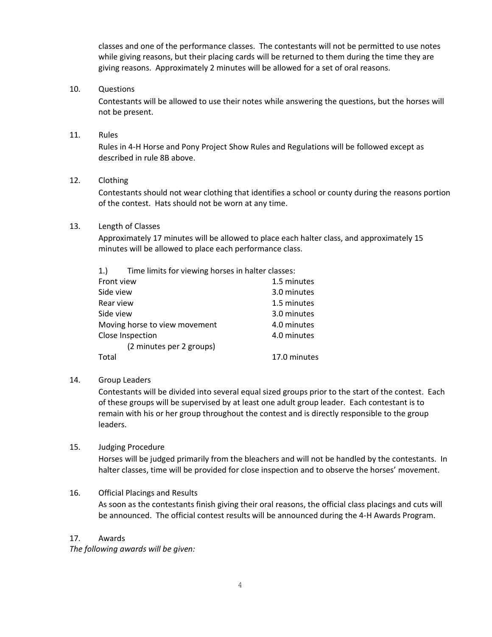classes and one of the performance classes. The contestants will not be permitted to use notes while giving reasons, but their placing cards will be returned to them during the time they are giving reasons. Approximately 2 minutes will be allowed for a set of oral reasons.

#### 10. Questions

Contestants will be allowed to use their notes while answering the questions, but the horses will not be present.

#### 11. Rules

Rules in 4-H Horse and Pony Project Show Rules and Regulations will be followed except as described in rule 8B above.

#### 12. Clothing

Contestants should not wear clothing that identifies a school or county during the reasons portion of the contest. Hats should not be worn at any time.

#### 13. Length of Classes

Approximately 17 minutes will be allowed to place each halter class, and approximately 15 minutes will be allowed to place each performance class.

| 1.                            | Time limits for viewing horses in halter classes: |              |
|-------------------------------|---------------------------------------------------|--------------|
| Front view                    |                                                   | 1.5 minutes  |
| Side view                     |                                                   | 3.0 minutes  |
| Rear view                     |                                                   | 1.5 minutes  |
| Side view                     |                                                   | 3.0 minutes  |
| Moving horse to view movement |                                                   | 4.0 minutes  |
| Close Inspection              |                                                   | 4.0 minutes  |
|                               | (2 minutes per 2 groups)                          |              |
| Total                         |                                                   | 17.0 minutes |

## 14. Group Leaders

Contestants will be divided into several equal sized groups prior to the start of the contest. Each of these groups will be supervised by at least one adult group leader. Each contestant is to remain with his or her group throughout the contest and is directly responsible to the group leaders.

## 15. Judging Procedure

Horses will be judged primarily from the bleachers and will not be handled by the contestants. In halter classes, time will be provided for close inspection and to observe the horses' movement.

## 16. Official Placings and Results

As soon as the contestants finish giving their oral reasons, the official class placings and cuts will be announced. The official contest results will be announced during the 4-H Awards Program.

#### 17. Awards

*The following awards will be given:*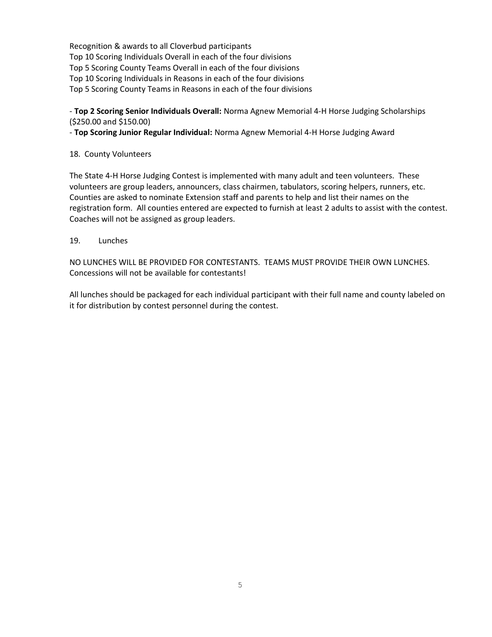Recognition & awards to all Cloverbud participants Top 10 Scoring Individuals Overall in each of the four divisions Top 5 Scoring County Teams Overall in each of the four divisions Top 10 Scoring Individuals in Reasons in each of the four divisions Top 5 Scoring County Teams in Reasons in each of the four divisions

# - **Top 2 Scoring Senior Individuals Overall:** Norma Agnew Memorial 4-H Horse Judging Scholarships (\$250.00 and \$150.00)

- **Top Scoring Junior Regular Individual:** Norma Agnew Memorial 4-H Horse Judging Award

## 18. County Volunteers

The State 4-H Horse Judging Contest is implemented with many adult and teen volunteers. These volunteers are group leaders, announcers, class chairmen, tabulators, scoring helpers, runners, etc. Counties are asked to nominate Extension staff and parents to help and list their names on the registration form. All counties entered are expected to furnish at least 2 adults to assist with the contest. Coaches will not be assigned as group leaders.

## 19. Lunches

NO LUNCHES WILL BE PROVIDED FOR CONTESTANTS. TEAMS MUST PROVIDE THEIR OWN LUNCHES. Concessions will not be available for contestants!

All lunches should be packaged for each individual participant with their full name and county labeled on it for distribution by contest personnel during the contest.